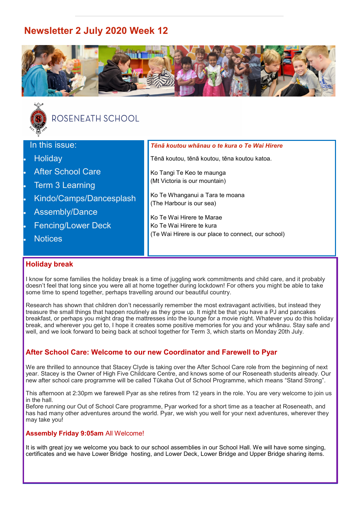# **Newsletter 2 July 2020 Week 12**





# ROSENEATH SCHOOL

| In this issue:            | Tēnā koutou whānau o te kura o Te Wai Hirere                |
|---------------------------|-------------------------------------------------------------|
| Holiday                   | Tēnā koutou, tēnā koutou, tēna koutou katoa.                |
| <b>After School Care</b>  | Ko Tangi Te Keo te maunga                                   |
| <b>Term 3 Learning</b>    | (Mt Victoria is our mountain)                               |
| Kindo/Camps/Dancesplash   | Ko Te Whanganui a Tara te moana<br>(The Harbour is our sea) |
| <b>Assembly/Dance</b>     |                                                             |
| <b>Fencing/Lower Deck</b> | Ko Te Wai Hirere te Marae<br>Ko Te Wai Hirere te kura       |
| <b>Notices</b>            | (Te Wai Hirere is our place to connect, our school)         |
|                           |                                                             |

# **Holiday break**

I know for some families the holiday break is a time of juggling work commitments and child care, and it probably doesn't feel that long since you were all at home together during lockdown! For others you might be able to take some time to spend together, perhaps travelling around our beautiful country.

Research has shown that children don't necessarily remember the most extravagant activities, but instead they treasure the small things that happen routinely as they grow up. It might be that you have a PJ and pancakes breakfast, or perhaps you might drag the mattresses into the lounge for a movie night. Whatever you do this holiday break, and wherever you get to, I hope it creates some positive memories for you and your whānau. Stay safe and well, and we look forward to being back at school together for Term 3, which starts on Monday 20th July.

# **After School Care: Welcome to our new Coordinator and Farewell to Pyar**

We are thrilled to announce that Stacey Clyde is taking over the After School Care role from the beginning of next year. Stacey is the Owner of High Five Childcare Centre, and knows some of our Roseneath students already. Our new after school care programme will be called Tūkaha Out of School Programme, which means "Stand Strong".

This afternoon at 2:30pm we farewell Pyar as she retires from 12 years in the role. You are very welcome to join us in the hall.

Before running our Out of School Care programme, Pyar worked for a short time as a teacher at Roseneath, and has had many other adventures around the world. Pyar, we wish you well for your next adventures, wherever they may take you!

## **Assembly Friday 9:05am** All Welcome!

It is with great joy we welcome you back to our school assemblies in our School Hall. We will have some singing, certificates and we have Lower Bridge hosting, and Lower Deck, Lower Bridge and Upper Bridge sharing items.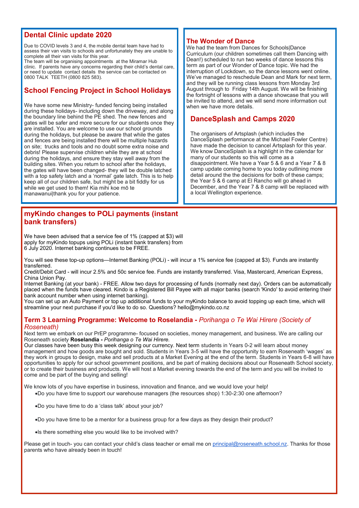## **Dental Clinic update 2020**

Due to COVID levels 3 and 4, the mobile dental team have had to assess their van visits to schools and unfortunately they are unable to complete all their van visits for this year.

The team will be organising appointments at the Miramar Hub clinic. If parents have any concerns regarding their child's dental care, or need to update contact details the service can be contacted on 0800 TALK TEETH (0800 825 583).

# **School Fencing Project in School Holidays**

We have some new Ministry- funded fencing being installed during these holidays- including down the driveway, and along the boundary line behind the PE shed. The new fences and gates will be safer and more secure for our students once they are installed. You are welcome to use our school grounds during the holidays, but please be aware that while the gates and fences are being installed there will be multiple hazards on site; trucks and tools and no doubt some extra noise and debris! Please supervise children while they are at school during the holidays, and ensure they stay well away from the building sites. When you return to school after the holidays, the gates will have been changed- they will be double latched with a top safety latch and a 'normal' gate latch. This is to help keep all of our children safe, but might be a bit fiddly for us while we get used to them! Kia mihi koe mō te manawanui|thank you for your patience.

### **myKindo changes to POLi payments (instant bank transfers)**

We have been advised that a service fee of 1% (capped at \$3) will apply for myKindo topups using POLi (instant bank transfers) from 6 July 2020. Internet banking continues to be FREE.

You will see these top-up options—Internet Banking (POLi) - will incur a 1% service fee (capped at \$3). Funds are instantly transferred.

Credit/Debit Card - will incur 2.5% and 50c service fee. Funds are instantly transferred. Visa, Mastercard, American Express, China Union Pay.

Internet Banking (at your bank) - FREE. Allow two days for processing of funds (normally next day). Orders can be automatically placed when the funds have cleared. Kindo is a Registered Bill Payee with all major banks (search 'Kindo' to avoid entering their bank account number when using internet banking).

You can set up an Auto Payment or top up additional funds to your myKindo balance to avoid topping up each time, which will streamline your next purchase if you'd like to do so. Questions? hello@mykindo.co.nz

#### **Term 3 Learning Programme: Welcome to Roselandia -** *Porihanga o Te Wai Hirere (Society of Roseneath)*

Next term we embark on our PrEP programme- focused on societies, money management, and business. We are calling our Roseneath society **Roselandia -** *Porihanga o Te Wai Hirere.*

Our classes have been busy this week designing our currency. Next term students in Years 0-2 will learn about money management and how goods are bought and sold. Students in Years 3-5 will have the opportunity to earn Roseneath 'wages' as they work in groups to design, make and sell products at a Market Evening at the end of the term. Students in Years 6-8 will have opportunities to apply for our school government positions, and be part of making decisions about our Roseneath School society, or to create their business and products. We will host a Market evening towards the end of the term and you will be invited to come and be part of the buying and selling!

We know lots of you have expertise in business, innovation and finance, and we would love your help!

- •Do you have time to support our warehouse managers (the resources shop) 1:30-2:30 one afternoon?
- •Do you have time to do a 'class talk' about your job?
- •Do you have time to be a mentor for a business group for a few days as they design their product?
- •Is there something else you would like to be involved with?

Please get in touch- you can contact your child's class teacher or email me on [principal@roseneath.school.nz.](mailto:principal@roseneath.school.nz) Thanks for those parents who have already been in touch!

### **The Wonder of Dance**

We had the team from Dances for Schools|Dance Curriculum (our children sometimes call them Dancing with Dean!) scheduled to run two weeks of dance lessons this term as part of our Wonder of Dance topic. We had the interruption of Lockdown, so the dance lessons went online. We've managed to reschedule Dean and Mark for next term, and they will be running class lessons from Monday 3rd August through to Friday 14th August. We will be finishing the fortnight of lessons with a dance showcase that you will be invited to attend, and we will send more information out when we have more details.

## **DanceSplash and Camps 2020**

The organisers of Artsplash (which includes the DanceSplash performance at the Michael Fowler Centre) have made the decision to cancel Artsplash for this year. We know DanceSplash is a highlight in the calendar for many of our students so this will come as a disappointment. We have a Year 5 & 6 and a Year 7 & 8 camp update coming home to you today outlining more detail around the the decisions for both of these camps; the Year 5 & 6 camp at El Rancho will go ahead in December, and the Year 7 & 8 camp will be replaced with a local Wellington experience.